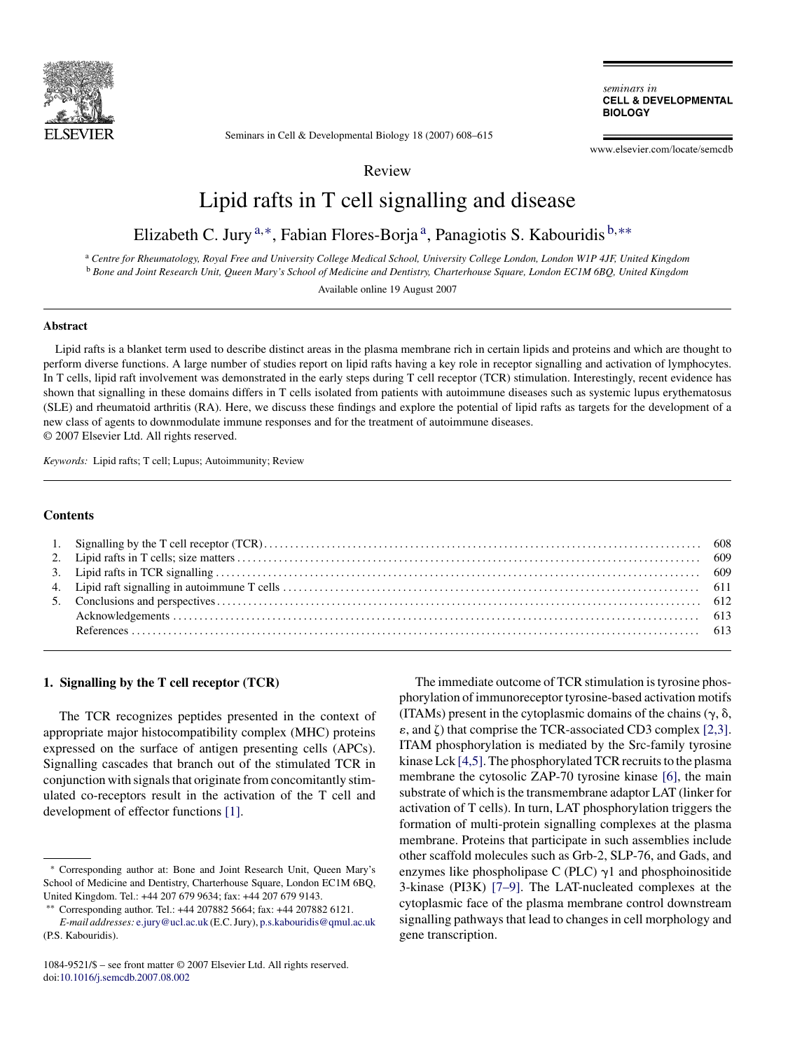

Seminars in Cell & Developmental Biology 18 (2007) 608–615

seminars in **CELL & DEVELOPMENTAL BIOLOGY** 

www.elsevier.com/locate/semcdb

Review

# Lipid rafts in T cell signalling and disease

Elizabeth C. Jury<sup>a,∗</sup>, Fabian Flores-Borja<sup>a</sup>, Panagiotis S. Kabouridis  $b$ <sup>\*\*</sup>

<sup>a</sup> *Centre for Rheumatology, Royal Free and University College Medical School, University College London, London W1P 4JF, United Kingdom* <sup>b</sup> *Bone and Joint Research Unit, Queen Mary's School of Medicine and Dentistry, Charterhouse Square, London EC1M 6BQ, United Kingdom*

Available online 19 August 2007

# **Abstract**

Lipid rafts is a blanket term used to describe distinct areas in the plasma membrane rich in certain lipids and proteins and which are thought to perform diverse functions. A large number of studies report on lipid rafts having a key role in receptor signalling and activation of lymphocytes. In T cells, lipid raft involvement was demonstrated in the early steps during T cell receptor (TCR) stimulation. Interestingly, recent evidence has shown that signalling in these domains differs in T cells isolated from patients with autoimmune diseases such as systemic lupus erythematosus (SLE) and rheumatoid arthritis (RA). Here, we discuss these findings and explore the potential of lipid rafts as targets for the development of a new class of agents to downmodulate immune responses and for the treatment of autoimmune diseases. © 2007 Elsevier Ltd. All rights reserved.

*Keywords:* Lipid rafts; T cell; Lupus; Autoimmunity; Review

#### **Contents**

### **1. Signalling by the T cell receptor (TCR)**

The TCR recognizes peptides presented in the context of appropriate major histocompatibility complex (MHC) proteins expressed on the surface of antigen presenting cells (APCs). Signalling cascades that branch out of the stimulated TCR in conjunction with signals that originate from concomitantly stimulated co-receptors result in the activation of the T cell and development of effector functions [\[1\].](#page-5-0)

The immediate outcome of TCR stimulation is tyrosine phosphorylation of immunoreceptor tyrosine-based activation motifs (ITAMs) present in the cytoplasmic domains of the chains  $(\gamma, \delta,$  $\varepsilon$ , and  $\zeta$ ) that comprise the TCR-associated CD3 complex [\[2,3\].](#page-5-0) ITAM phosphorylation is mediated by the Src-family tyrosine kinase Lck [\[4,5\]. T](#page-5-0)he phosphorylated TCR recruits to the plasma membrane the cytosolic ZAP-70 tyrosine kinase [\[6\],](#page-5-0) the main substrate of which is the transmembrane adaptor LAT (linker for activation of T cells). In turn, LAT phosphorylation triggers the formation of multi-protein signalling complexes at the plasma membrane. Proteins that participate in such assemblies include other scaffold molecules such as Grb-2, SLP-76, and Gads, and enzymes like phospholipase C (PLC)  $\gamma$ 1 and phosphoinositide 3-kinase (PI3K) [\[7–9\].](#page-5-0) The LAT-nucleated complexes at the cytoplasmic face of the plasma membrane control downstream signalling pathways that lead to changes in cell morphology and gene transcription.

<sup>∗</sup> Corresponding author at: Bone and Joint Research Unit, Queen Mary's School of Medicine and Dentistry, Charterhouse Square, London EC1M 6BQ, United Kingdom. Tel.: +44 207 679 9634; fax: +44 207 679 9143.

<sup>∗∗</sup> Corresponding author. Tel.: +44 207882 5664; fax: +44 207882 6121. *E-mail addresses:* [e.jury@ucl.ac.uk](mailto:e.jury@ucl.ac.uk) (E.C. Jury), [p.s.kabouridis@qmul.ac.uk](mailto:p.s.kabouridis@qmul.ac.uk) (P.S. Kabouridis).

<sup>1084-9521/\$ –</sup> see front matter © 2007 Elsevier Ltd. All rights reserved. doi[:10.1016/j.semcdb.2007.08.002](dx.doi.org/10.1016/j.semcdb.2007.08.002)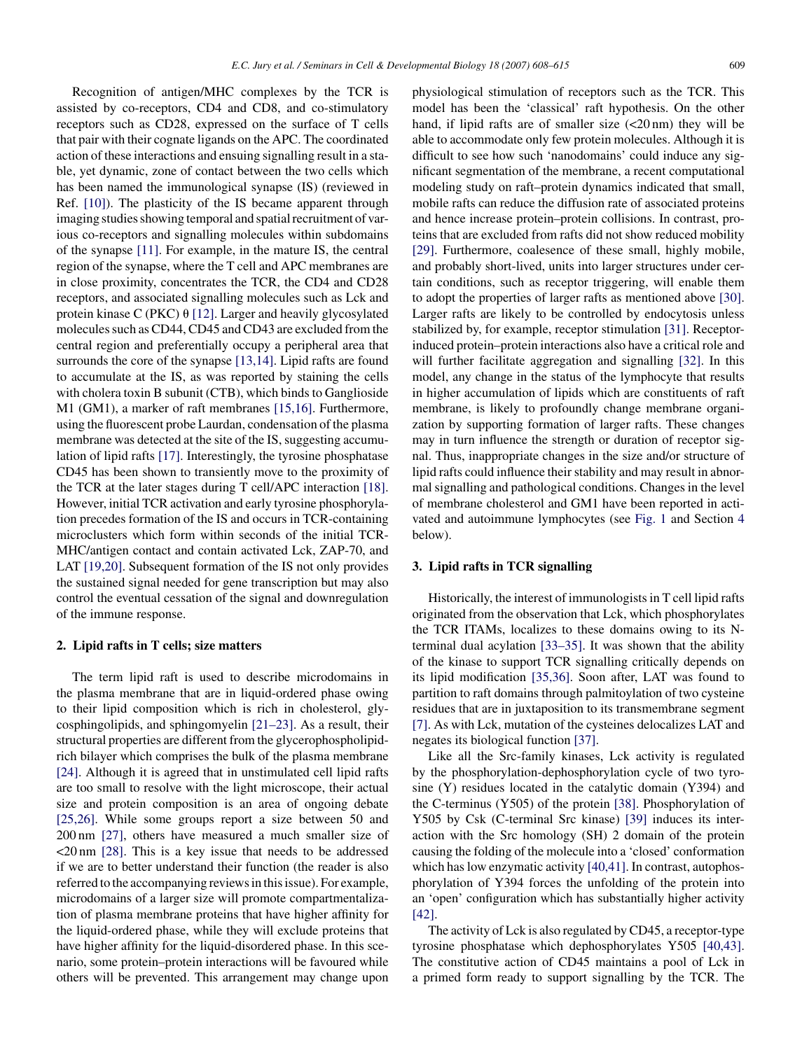Recognition of antigen/MHC complexes by the TCR is assisted by co-receptors, CD4 and CD8, and co-stimulatory receptors such as CD28, expressed on the surface of T cells that pair with their cognate ligands on the APC. The coordinated action of these interactions and ensuing signalling result in a stable, yet dynamic, zone of contact between the two cells which has been named the immunological synapse (IS) (reviewed in Ref. [\[10\]\).](#page-5-0) The plasticity of the IS became apparent through imaging studies showing temporal and spatial recruitment of various co-receptors and signalling molecules within subdomains of the synapse [\[11\].](#page-5-0) For example, in the mature IS, the central region of the synapse, where the T cell and APC membranes are in close proximity, concentrates the TCR, the CD4 and CD28 receptors, and associated signalling molecules such as Lck and protein kinase C (PKC)  $\theta$  [\[12\]. L](#page-5-0)arger and heavily glycosylated molecules such as CD44, CD45 and CD43 are excluded from the central region and preferentially occupy a peripheral area that surrounds the core of the synapse [\[13,14\]. L](#page-5-0)ipid rafts are found to accumulate at the IS, as was reported by staining the cells with cholera toxin B subunit (CTB), which binds to Ganglioside M1 (GM1), a marker of raft membranes [\[15,16\].](#page-5-0) Furthermore, using the fluorescent probe Laurdan, condensation of the plasma membrane was detected at the site of the IS, suggesting accumulation of lipid rafts [\[17\].](#page-5-0) Interestingly, the tyrosine phosphatase CD45 has been shown to transiently move to the proximity of the TCR at the later stages during T cell/APC interaction [\[18\].](#page-5-0) However, initial TCR activation and early tyrosine phosphorylation precedes formation of the IS and occurs in TCR-containing microclusters which form within seconds of the initial TCR-MHC/antigen contact and contain activated Lck, ZAP-70, and LAT [\[19,20\].](#page-5-0) Subsequent formation of the IS not only provides the sustained signal needed for gene transcription but may also control the eventual cessation of the signal and downregulation of the immune response.

## **2. Lipid rafts in T cells; size matters**

The term lipid raft is used to describe microdomains in the plasma membrane that are in liquid-ordered phase owing to their lipid composition which is rich in cholesterol, glycosphingolipids, and sphingomyelin [\[21–23\]. A](#page-5-0)s a result, their structural properties are different from the glycerophospholipidrich bilayer which comprises the bulk of the plasma membrane [\[24\].](#page-5-0) Although it is agreed that in unstimulated cell lipid rafts are too small to resolve with the light microscope, their actual size and protein composition is an area of ongoing debate [\[25,26\].](#page-5-0) While some groups report a size between 50 and 200 nm [\[27\],](#page-5-0) others have measured a much smaller size of <20 nm [\[28\].](#page-5-0) This is a key issue that needs to be addressed if we are to better understand their function (the reader is also referred to the accompanying reviews in this issue). For example, microdomains of a larger size will promote compartmentalization of plasma membrane proteins that have higher affinity for the liquid-ordered phase, while they will exclude proteins that have higher affinity for the liquid-disordered phase. In this scenario, some protein–protein interactions will be favoured while others will be prevented. This arrangement may change upon

physiological stimulation of receptors such as the TCR. This model has been the 'classical' raft hypothesis. On the other hand, if lipid rafts are of smaller size  $\left($ <20 nm) they will be able to accommodate only few protein molecules. Although it is difficult to see how such 'nanodomains' could induce any significant segmentation of the membrane, a recent computational modeling study on raft–protein dynamics indicated that small, mobile rafts can reduce the diffusion rate of associated proteins and hence increase protein–protein collisions. In contrast, proteins that are excluded from rafts did not show reduced mobility [\[29\].](#page-5-0) Furthermore, coalesence of these small, highly mobile, and probably short-lived, units into larger structures under certain conditions, such as receptor triggering, will enable them to adopt the properties of larger rafts as mentioned above [\[30\].](#page-5-0) Larger rafts are likely to be controlled by endocytosis unless stabilized by, for example, receptor stimulation [\[31\]. R](#page-5-0)eceptorinduced protein–protein interactions also have a critical role and will further facilitate aggregation and signalling [\[32\].](#page-5-0) In this model, any change in the status of the lymphocyte that results in higher accumulation of lipids which are constituents of raft membrane, is likely to profoundly change membrane organization by supporting formation of larger rafts. These changes may in turn influence the strength or duration of receptor signal. Thus, inappropriate changes in the size and/or structure of lipid rafts could influence their stability and may result in abnormal signalling and pathological conditions. Changes in the level of membrane cholesterol and GM1 have been reported in activated and autoimmune lymphocytes (see [Fig. 1](#page-2-0) and Section [4](#page-3-0) below).

#### **3. Lipid rafts in TCR signalling**

Historically, the interest of immunologists in T cell lipid rafts originated from the observation that Lck, which phosphorylates the TCR ITAMs, localizes to these domains owing to its Nterminal dual acylation [\[33–35\].](#page-5-0) It was shown that the ability of the kinase to support TCR signalling critically depends on its lipid modification [\[35,36\].](#page-5-0) Soon after, LAT was found to partition to raft domains through palmitoylation of two cysteine residues that are in juxtaposition to its transmembrane segment [\[7\]. A](#page-5-0)s with Lck, mutation of the cysteines delocalizes LAT and negates its biological function [\[37\].](#page-5-0)

Like all the Src-family kinases, Lck activity is regulated by the phosphorylation-dephosphorylation cycle of two tyrosine (Y) residues located in the catalytic domain (Y394) and the C-terminus (Y505) of the protein [\[38\].](#page-5-0) Phosphorylation of Y505 by Csk (C-terminal Src kinase) [\[39\]](#page-5-0) induces its interaction with the Src homology (SH) 2 domain of the protein causing the folding of the molecule into a 'closed' conformation which has low enzymatic activity [\[40,41\]. I](#page-5-0)n contrast, autophosphorylation of Y394 forces the unfolding of the protein into an 'open' configuration which has substantially higher activity [\[42\].](#page-5-0)

The activity of Lck is also regulated by CD45, a receptor-type tyrosine phosphatase which dephosphorylates Y505 [\[40,43\].](#page-5-0) The constitutive action of CD45 maintains a pool of Lck in a primed form ready to support signalling by the TCR. The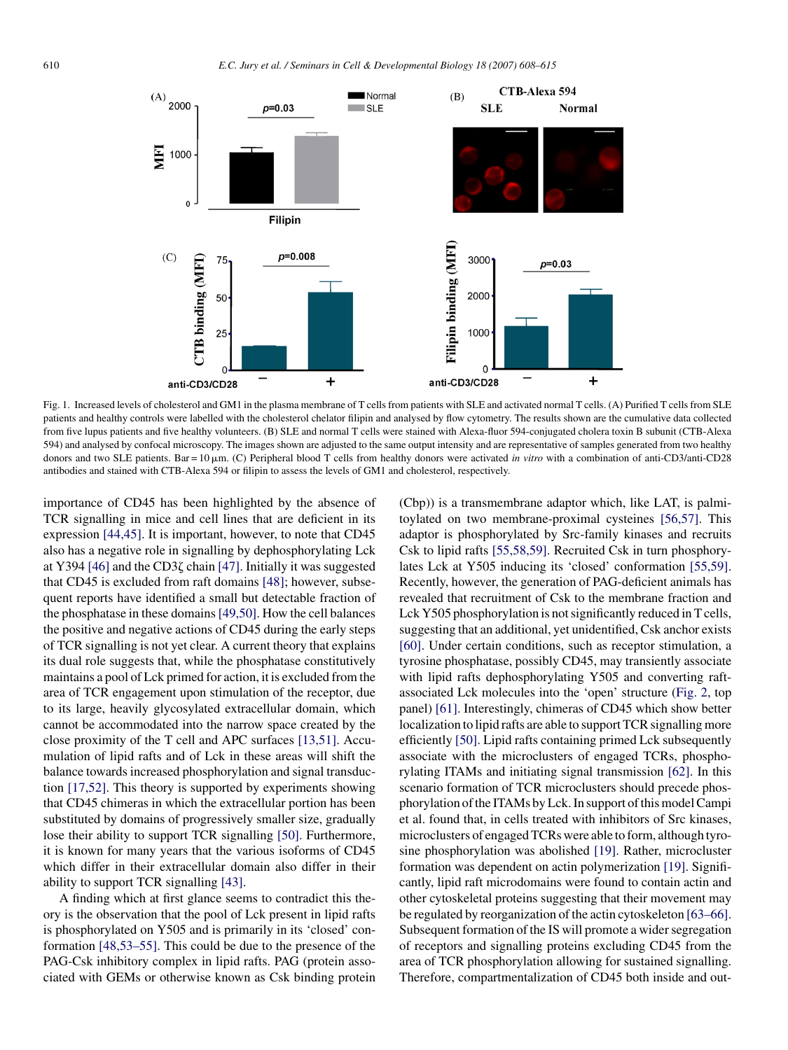<span id="page-2-0"></span>

Fig. 1. Increased levels of cholesterol and GM1 in the plasma membrane of T cells from patients with SLE and activated normal T cells. (A) Purified T cellsfrom SLE patients and healthy controls were labelled with the cholesterol chelator filipin and analysed by flow cytometry. The results shown are the cumulative data collected from five lupus patients and five healthy volunteers. (B) SLE and normal T cells were stained with Alexa-fluor 594-conjugated cholera toxin B subunit (CTB-Alexa 594) and analysed by confocal microscopy. The images shown are adjusted to the same output intensity and are representative of samples generated from two healthy donors and two SLE patients. Bar = 10  $\mu$ m. (C) Peripheral blood T cells from healthy donors were activated *in vitro* with a combination of anti-CD3/anti-CD28 antibodies and stained with CTB-Alexa 594 or filipin to assess the levels of GM1 and cholesterol, respectively.

importance of CD45 has been highlighted by the absence of TCR signalling in mice and cell lines that are deficient in its expression [\[44,45\].](#page-6-0) It is important, however, to note that CD45 also has a negative role in signalling by dephosphorylating Lck at Y394 [\[46\]](#page-6-0) and the CD3 $\zeta$  chain [\[47\]. I](#page-6-0)nitially it was suggested that CD45 is excluded from raft domains [\[48\];](#page-6-0) however, subsequent reports have identified a small but detectable fraction of the phosphatase in these domains[\[49,50\]. H](#page-6-0)ow the cell balances the positive and negative actions of CD45 during the early steps of TCR signalling is not yet clear. A current theory that explains its dual role suggests that, while the phosphatase constitutively maintains a pool of Lck primed for action, it is excluded from the area of TCR engagement upon stimulation of the receptor, due to its large, heavily glycosylated extracellular domain, which cannot be accommodated into the narrow space created by the close proximity of the T cell and APC surfaces [\[13,51\].](#page-5-0) Accumulation of lipid rafts and of Lck in these areas will shift the balance towards increased phosphorylation and signal transduction [\[17,52\].](#page-5-0) This theory is supported by experiments showing that CD45 chimeras in which the extracellular portion has been substituted by domains of progressively smaller size, gradually lose their ability to support TCR signalling [\[50\].](#page-6-0) Furthermore, it is known for many years that the various isoforms of CD45 which differ in their extracellular domain also differ in their ability to support TCR signalling [\[43\].](#page-5-0)

A finding which at first glance seems to contradict this theory is the observation that the pool of Lck present in lipid rafts is phosphorylated on Y505 and is primarily in its 'closed' conformation [\[48,53–55\]. T](#page-6-0)his could be due to the presence of the PAG-Csk inhibitory complex in lipid rafts. PAG (protein associated with GEMs or otherwise known as Csk binding protein (Cbp)) is a transmembrane adaptor which, like LAT, is palmitoylated on two membrane-proximal cysteines [\[56,57\].](#page-6-0) This adaptor is phosphorylated by Src-family kinases and recruits Csk to lipid rafts [\[55,58,59\].](#page-6-0) Recruited Csk in turn phosphorylates Lck at Y505 inducing its 'closed' conformation [\[55,59\].](#page-6-0) Recently, however, the generation of PAG-deficient animals has revealed that recruitment of Csk to the membrane fraction and Lck Y505 phosphorylation is not significantly reduced in T cells, suggesting that an additional, yet unidentified, Csk anchor exists [\[60\].](#page-6-0) Under certain conditions, such as receptor stimulation, a tyrosine phosphatase, possibly CD45, may transiently associate with lipid rafts dephosphorylating Y505 and converting raftassociated Lck molecules into the 'open' structure [\(Fig. 2,](#page-3-0) top panel) [\[61\]. I](#page-6-0)nterestingly, chimeras of CD45 which show better localization to lipid rafts are able to support TCR signalling more efficiently [\[50\]. L](#page-6-0)ipid rafts containing primed Lck subsequently associate with the microclusters of engaged TCRs, phosphorylating ITAMs and initiating signal transmission [\[62\].](#page-6-0) In this scenario formation of TCR microclusters should precede phosphorylation of the ITAMs by Lck. In support of this model Campi et al. found that, in cells treated with inhibitors of Src kinases, microclusters of engaged TCRs were able to form, although tyrosine phosphorylation was abolished [\[19\].](#page-5-0) Rather, microcluster formation was dependent on actin polymerization [\[19\]. S](#page-5-0)ignificantly, lipid raft microdomains were found to contain actin and other cytoskeletal proteins suggesting that their movement may be regulated by reorganization of the actin cytoskeleton [\[63–66\].](#page-6-0) Subsequent formation of the IS will promote a wider segregation of receptors and signalling proteins excluding CD45 from the area of TCR phosphorylation allowing for sustained signalling. Therefore, compartmentalization of CD45 both inside and out-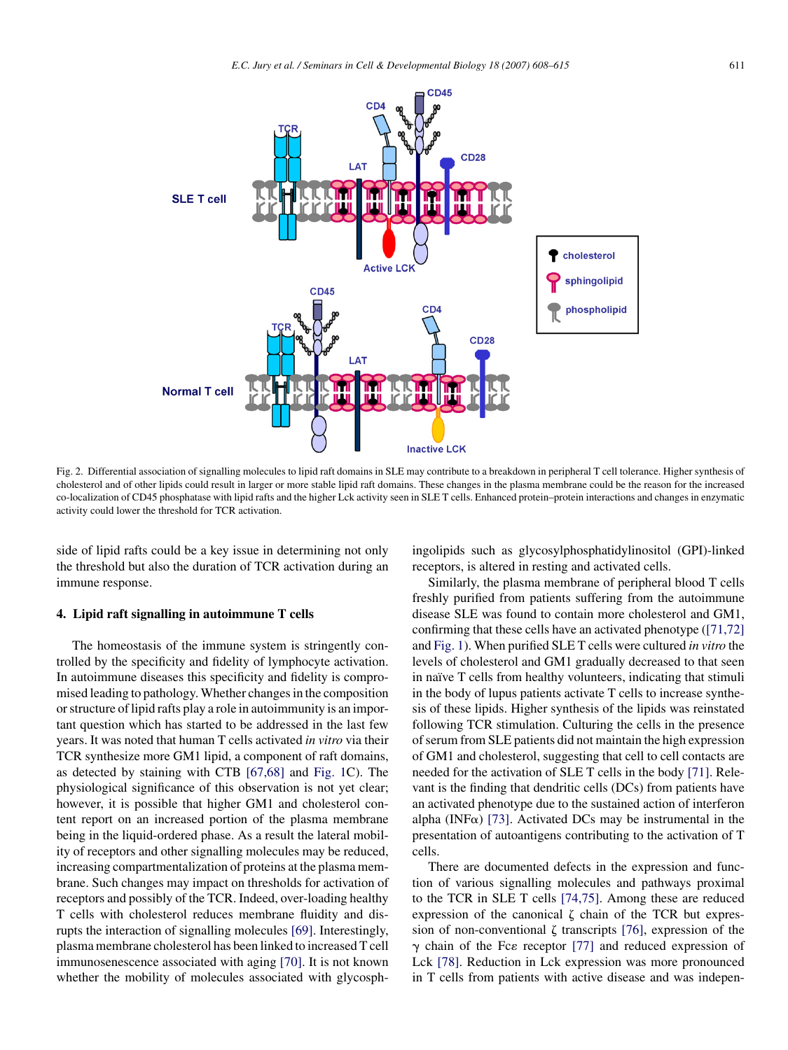<span id="page-3-0"></span>

Fig. 2. Differential association of signalling molecules to lipid raft domains in SLE may contribute to a breakdown in peripheral T cell tolerance. Higher synthesis of cholesterol and of other lipids could result in larger or more stable lipid raft domains. These changes in the plasma membrane could be the reason for the increased co-localization of CD45 phosphatase with lipid rafts and the higher Lck activity seen in SLE T cells. Enhanced protein–protein interactions and changes in enzymatic

side of lipid rafts could be a key issue in determining not only the threshold but also the duration of TCR activation during an immune response.

#### **4. Lipid raft signalling in autoimmune T cells**

activity could lower the threshold for TCR activation.

The homeostasis of the immune system is stringently controlled by the specificity and fidelity of lymphocyte activation. In autoimmune diseases this specificity and fidelity is compromised leading to pathology. Whether changes in the composition or structure of lipid rafts play a role in autoimmunity is an important question which has started to be addressed in the last few years. It was noted that human T cells activated *in vitro* via their TCR synthesize more GM1 lipid, a component of raft domains, as detected by staining with CTB [\[67,68\]](#page-6-0) and [Fig. 1C](#page-2-0)). The physiological significance of this observation is not yet clear; however, it is possible that higher GM1 and cholesterol content report on an increased portion of the plasma membrane being in the liquid-ordered phase. As a result the lateral mobility of receptors and other signalling molecules may be reduced, increasing compartmentalization of proteins at the plasma membrane. Such changes may impact on thresholds for activation of receptors and possibly of the TCR. Indeed, over-loading healthy T cells with cholesterol reduces membrane fluidity and disrupts the interaction of signalling molecules [\[69\]. I](#page-6-0)nterestingly, plasma membrane cholesterol has been linked to increased T cell immunosenescence associated with aging [\[70\].](#page-6-0) It is not known whether the mobility of molecules associated with glycosphingolipids such as glycosylphosphatidylinositol (GPI)-linked receptors, is altered in resting and activated cells.

Similarly, the plasma membrane of peripheral blood T cells freshly purified from patients suffering from the autoimmune disease SLE was found to contain more cholesterol and GM1, confirming that these cells have an activated phenotype ([\[71,72\]](#page-6-0) and [Fig. 1\).](#page-2-0) When purified SLE T cells were cultured *in vitro* the levels of cholesterol and GM1 gradually decreased to that seen in naïve T cells from healthy volunteers, indicating that stimuli in the body of lupus patients activate T cells to increase synthesis of these lipids. Higher synthesis of the lipids was reinstated following TCR stimulation. Culturing the cells in the presence of serum from SLE patients did not maintain the high expression of GM1 and cholesterol, suggesting that cell to cell contacts are needed for the activation of SLE T cells in the body [\[71\].](#page-6-0) Relevant is the finding that dendritic cells (DCs) from patients have an activated phenotype due to the sustained action of interferon alpha (INF $\alpha$ ) [\[73\].](#page-6-0) Activated DCs may be instrumental in the presentation of autoantigens contributing to the activation of T cells.

There are documented defects in the expression and function of various signalling molecules and pathways proximal to the TCR in SLE T cells [\[74,75\].](#page-6-0) Among these are reduced expression of the canonical  $\zeta$  chain of the TCR but expression of non-conventional  $\zeta$  transcripts [\[76\],](#page-6-0) expression of the  $\gamma$  chain of the Fc $\varepsilon$  receptor [\[77\]](#page-6-0) and reduced expression of Lck [\[78\].](#page-6-0) Reduction in Lck expression was more pronounced in T cells from patients with active disease and was indepen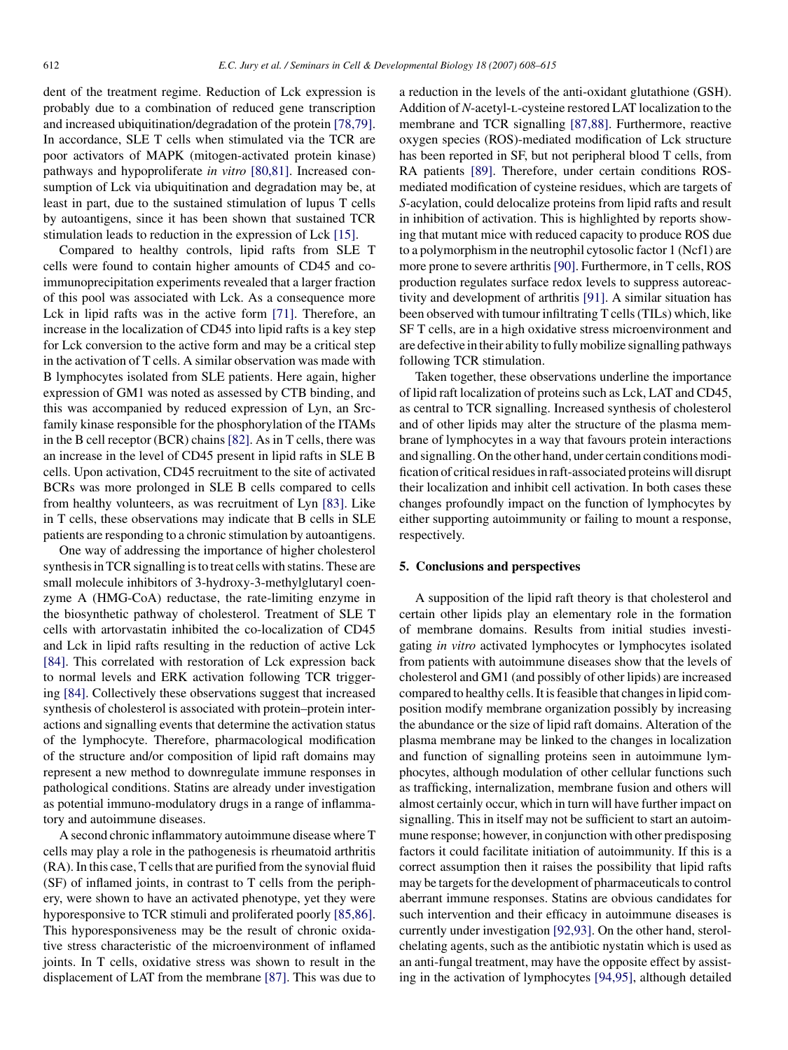dent of the treatment regime. Reduction of Lck expression is probably due to a combination of reduced gene transcription and increased ubiquitination/degradation of the protein [\[78,79\].](#page-6-0) In accordance, SLE T cells when stimulated via the TCR are poor activators of MAPK (mitogen-activated protein kinase) pathways and hypoproliferate *in vitro* [\[80,81\].](#page-6-0) Increased consumption of Lck via ubiquitination and degradation may be, at least in part, due to the sustained stimulation of lupus T cells by autoantigens, since it has been shown that sustained TCR stimulation leads to reduction in the expression of Lck [\[15\].](#page-5-0)

Compared to healthy controls, lipid rafts from SLE T cells were found to contain higher amounts of CD45 and coimmunoprecipitation experiments revealed that a larger fraction of this pool was associated with Lck. As a consequence more Lck in lipid rafts was in the active form [\[71\].](#page-6-0) Therefore, an increase in the localization of CD45 into lipid rafts is a key step for Lck conversion to the active form and may be a critical step in the activation of T cells. A similar observation was made with B lymphocytes isolated from SLE patients. Here again, higher expression of GM1 was noted as assessed by CTB binding, and this was accompanied by reduced expression of Lyn, an Srcfamily kinase responsible for the phosphorylation of the ITAMs in the B cell receptor (BCR) chains [\[82\]. A](#page-6-0)s in T cells, there was an increase in the level of CD45 present in lipid rafts in SLE B cells. Upon activation, CD45 recruitment to the site of activated BCRs was more prolonged in SLE B cells compared to cells from healthy volunteers, as was recruitment of Lyn [\[83\].](#page-6-0) Like in T cells, these observations may indicate that B cells in SLE patients are responding to a chronic stimulation by autoantigens.

One way of addressing the importance of higher cholesterol synthesis in TCR signalling is to treat cells with statins. These are small molecule inhibitors of 3-hydroxy-3-methylglutaryl coenzyme A (HMG-CoA) reductase, the rate-limiting enzyme in the biosynthetic pathway of cholesterol. Treatment of SLE T cells with artorvastatin inhibited the co-localization of CD45 and Lck in lipid rafts resulting in the reduction of active Lck [\[84\].](#page-7-0) This correlated with restoration of Lck expression back to normal levels and ERK activation following TCR triggering [\[84\]. C](#page-7-0)ollectively these observations suggest that increased synthesis of cholesterol is associated with protein–protein interactions and signalling events that determine the activation status of the lymphocyte. Therefore, pharmacological modification of the structure and/or composition of lipid raft domains may represent a new method to downregulate immune responses in pathological conditions. Statins are already under investigation as potential immuno-modulatory drugs in a range of inflammatory and autoimmune diseases.

A second chronic inflammatory autoimmune disease where T cells may play a role in the pathogenesis is rheumatoid arthritis (RA). In this case, T cells that are purified from the synovial fluid (SF) of inflamed joints, in contrast to T cells from the periphery, were shown to have an activated phenotype, yet they were hyporesponsive to TCR stimuli and proliferated poorly [\[85,86\].](#page-7-0) This hyporesponsiveness may be the result of chronic oxidative stress characteristic of the microenvironment of inflamed joints. In T cells, oxidative stress was shown to result in the displacement of LAT from the membrane [\[87\]. T](#page-7-0)his was due to

a reduction in the levels of the anti-oxidant glutathione (GSH). Addition of *N*-acetyl-l-cysteine restored LAT localization to the membrane and TCR signalling [\[87,88\].](#page-7-0) Furthermore, reactive oxygen species (ROS)-mediated modification of Lck structure has been reported in SF, but not peripheral blood T cells, from RA patients [\[89\].](#page-7-0) Therefore, under certain conditions ROSmediated modification of cysteine residues, which are targets of *S*-acylation, could delocalize proteins from lipid rafts and result in inhibition of activation. This is highlighted by reports showing that mutant mice with reduced capacity to produce ROS due to a polymorphism in the neutrophil cytosolic factor 1 (Ncf1) are more prone to severe arthritis[\[90\]. F](#page-7-0)urthermore, in T cells, ROS production regulates surface redox levels to suppress autoreactivity and development of arthritis [\[91\].](#page-7-0) A similar situation has been observed with tumour infiltrating T cells (TILs) which, like SF T cells, are in a high oxidative stress microenvironment and are defective in their ability to fully mobilize signalling pathways following TCR stimulation.

Taken together, these observations underline the importance of lipid raft localization of proteins such as Lck, LAT and CD45, as central to TCR signalling. Increased synthesis of cholesterol and of other lipids may alter the structure of the plasma membrane of lymphocytes in a way that favours protein interactions and signalling. On the other hand, under certain conditions modification of critical residues in raft-associated proteins will disrupt their localization and inhibit cell activation. In both cases these changes profoundly impact on the function of lymphocytes by either supporting autoimmunity or failing to mount a response, respectively.

# **5. Conclusions and perspectives**

A supposition of the lipid raft theory is that cholesterol and certain other lipids play an elementary role in the formation of membrane domains. Results from initial studies investigating *in vitro* activated lymphocytes or lymphocytes isolated from patients with autoimmune diseases show that the levels of cholesterol and GM1 (and possibly of other lipids) are increased compared to healthy cells. It is feasible that changes in lipid composition modify membrane organization possibly by increasing the abundance or the size of lipid raft domains. Alteration of the plasma membrane may be linked to the changes in localization and function of signalling proteins seen in autoimmune lymphocytes, although modulation of other cellular functions such as trafficking, internalization, membrane fusion and others will almost certainly occur, which in turn will have further impact on signalling. This in itself may not be sufficient to start an autoimmune response; however, in conjunction with other predisposing factors it could facilitate initiation of autoimmunity. If this is a correct assumption then it raises the possibility that lipid rafts may be targets for the development of pharmaceuticals to control aberrant immune responses. Statins are obvious candidates for such intervention and their efficacy in autoimmune diseases is currently under investigation [\[92,93\]. O](#page-7-0)n the other hand, sterolchelating agents, such as the antibiotic nystatin which is used as an anti-fungal treatment, may have the opposite effect by assisting in the activation of lymphocytes [\[94,95\],](#page-7-0) although detailed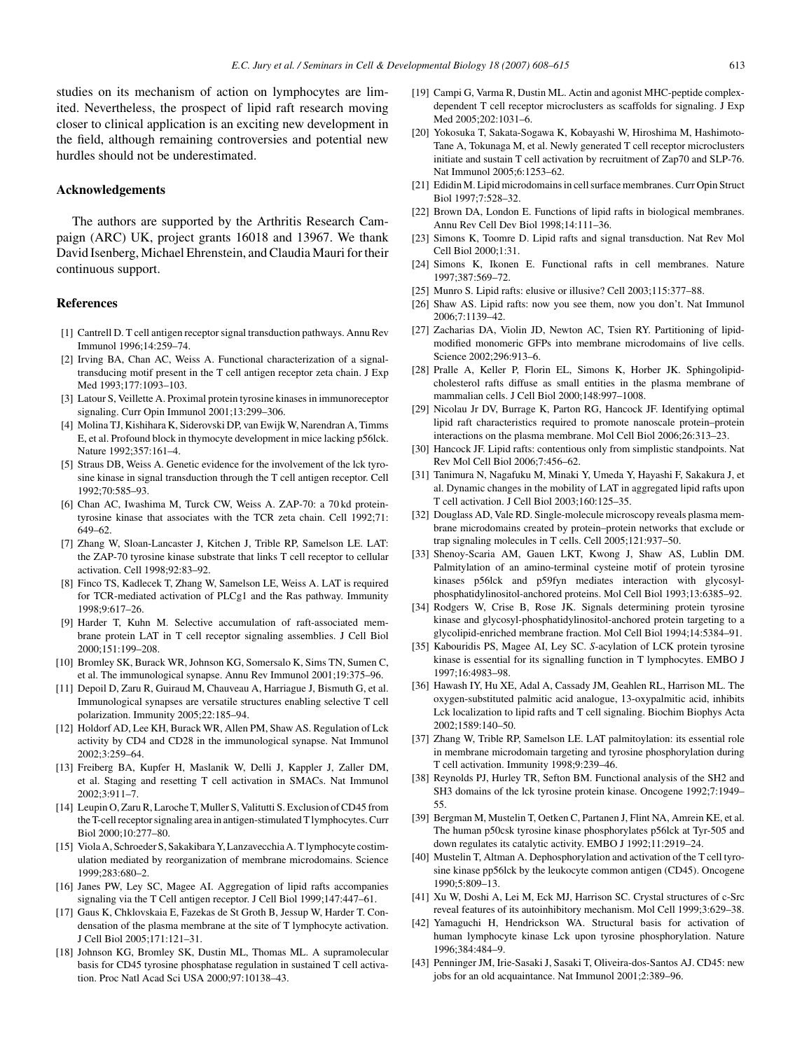<span id="page-5-0"></span>studies on its mechanism of action on lymphocytes are limited. Nevertheless, the prospect of lipid raft research moving closer to clinical application is an exciting new development in the field, although remaining controversies and potential new hurdles should not be underestimated.

#### **Acknowledgements**

The authors are supported by the Arthritis Research Campaign (ARC) UK, project grants 16018 and 13967. We thank David Isenberg, Michael Ehrenstein, and Claudia Mauri for their continuous support.

#### **References**

- [1] Cantrell D. T cell antigen receptor signal transduction pathways. Annu Rev Immunol 1996;14:259–74.
- [2] Irving BA, Chan AC, Weiss A. Functional characterization of a signaltransducing motif present in the T cell antigen receptor zeta chain. J Exp Med 1993;177:1093–103.
- [3] Latour S, Veillette A. Proximal protein tyrosine kinases in immunoreceptor signaling. Curr Opin Immunol 2001;13:299–306.
- [4] Molina TJ, Kishihara K, Siderovski DP, van Ewijk W, Narendran A, Timms E, et al. Profound block in thymocyte development in mice lacking p56lck. Nature 1992;357:161–4.
- [5] Straus DB, Weiss A. Genetic evidence for the involvement of the lck tyrosine kinase in signal transduction through the T cell antigen receptor. Cell 1992;70:585–93.
- [6] Chan AC, Iwashima M, Turck CW, Weiss A. ZAP-70: a 70 kd proteintyrosine kinase that associates with the TCR zeta chain. Cell 1992;71: 649–62.
- [7] Zhang W, Sloan-Lancaster J, Kitchen J, Trible RP, Samelson LE. LAT: the ZAP-70 tyrosine kinase substrate that links T cell receptor to cellular activation. Cell 1998;92:83–92.
- [8] Finco TS, Kadlecek T, Zhang W, Samelson LE, Weiss A. LAT is required for TCR-mediated activation of PLCg1 and the Ras pathway. Immunity 1998;9:617–26.
- [9] Harder T, Kuhn M. Selective accumulation of raft-associated membrane protein LAT in T cell receptor signaling assemblies. J Cell Biol 2000;151:199–208.
- [10] Bromley SK, Burack WR, Johnson KG, Somersalo K, Sims TN, Sumen C, et al. The immunological synapse. Annu Rev Immunol 2001;19:375–96.
- [11] Depoil D, Zaru R, Guiraud M, Chauveau A, Harriague J, Bismuth G, et al. Immunological synapses are versatile structures enabling selective T cell polarization. Immunity 2005;22:185–94.
- [12] Holdorf AD, Lee KH, Burack WR, Allen PM, Shaw AS. Regulation of Lck activity by CD4 and CD28 in the immunological synapse. Nat Immunol 2002;3:259–64.
- [13] Freiberg BA, Kupfer H, Maslanik W, Delli J, Kappler J, Zaller DM, et al. Staging and resetting T cell activation in SMACs. Nat Immunol 2002;3:911–7.
- [14] Leupin O, Zaru R, Laroche T, Muller S, Valitutti S. Exclusion of CD45 from the T-cell receptor signaling area in antigen-stimulated T lymphocytes. Curr Biol 2000;10:277–80.
- [15] Viola A, Schroeder S, Sakakibara Y, Lanzavecchia A. T lymphocyte costimulation mediated by reorganization of membrane microdomains. Science 1999;283:680–2.
- [16] Janes PW, Ley SC, Magee AI. Aggregation of lipid rafts accompanies signaling via the T Cell antigen receptor. J Cell Biol 1999;147:447–61.
- [17] Gaus K, Chklovskaia E, Fazekas de St Groth B, Jessup W, Harder T. Condensation of the plasma membrane at the site of T lymphocyte activation. J Cell Biol 2005;171:121–31.
- [18] Johnson KG, Bromley SK, Dustin ML, Thomas ML. A supramolecular basis for CD45 tyrosine phosphatase regulation in sustained T cell activation. Proc Natl Acad Sci USA 2000;97:10138–43.
- [19] Campi G, Varma R, Dustin ML. Actin and agonist MHC-peptide complexdependent T cell receptor microclusters as scaffolds for signaling. J Exp Med 2005;202:1031–6.
- [20] Yokosuka T, Sakata-Sogawa K, Kobayashi W, Hiroshima M, Hashimoto-Tane A, Tokunaga M, et al. Newly generated T cell receptor microclusters initiate and sustain T cell activation by recruitment of Zap70 and SLP-76. Nat Immunol 2005;6:1253–62.
- [21] Edidin M. Lipid microdomains in cell surface membranes. Curr Opin Struct Biol 1997;7:528–32.
- [22] Brown DA, London E. Functions of lipid rafts in biological membranes. Annu Rev Cell Dev Biol 1998;14:111–36.
- [23] Simons K, Toomre D. Lipid rafts and signal transduction. Nat Rev Mol Cell Biol 2000;1:31.
- [24] Simons K, Ikonen E. Functional rafts in cell membranes. Nature 1997;387:569–72.
- [25] Munro S. Lipid rafts: elusive or illusive? Cell 2003;115:377-88.
- [26] Shaw AS. Lipid rafts: now you see them, now you don't. Nat Immunol 2006;7:1139–42.
- [27] Zacharias DA, Violin JD, Newton AC, Tsien RY. Partitioning of lipidmodified monomeric GFPs into membrane microdomains of live cells. Science 2002;296:913–6.
- [28] Pralle A, Keller P, Florin EL, Simons K, Horber JK. Sphingolipidcholesterol rafts diffuse as small entities in the plasma membrane of mammalian cells. J Cell Biol 2000;148:997–1008.
- [29] Nicolau Jr DV, Burrage K, Parton RG, Hancock JF. Identifying optimal lipid raft characteristics required to promote nanoscale protein–protein interactions on the plasma membrane. Mol Cell Biol 2006;26:313–23.
- [30] Hancock JF. Lipid rafts: contentious only from simplistic standpoints. Nat Rev Mol Cell Biol 2006;7:456–62.
- [31] Tanimura N, Nagafuku M, Minaki Y, Umeda Y, Hayashi F, Sakakura J, et al. Dynamic changes in the mobility of LAT in aggregated lipid rafts upon T cell activation. J Cell Biol 2003;160:125–35.
- [32] Douglass AD, Vale RD. Single-molecule microscopy reveals plasma membrane microdomains created by protein–protein networks that exclude or trap signaling molecules in T cells. Cell 2005;121:937–50.
- [33] Shenoy-Scaria AM, Gauen LKT, Kwong J, Shaw AS, Lublin DM. Palmitylation of an amino-terminal cysteine motif of protein tyrosine kinases p56lck and p59fyn mediates interaction with glycosylphosphatidylinositol-anchored proteins. Mol Cell Biol 1993;13:6385–92.
- [34] Rodgers W, Crise B, Rose JK. Signals determining protein tyrosine kinase and glycosyl-phosphatidylinositol-anchored protein targeting to a glycolipid-enriched membrane fraction. Mol Cell Biol 1994;14:5384–91.
- [35] Kabouridis PS, Magee AI, Ley SC. *S*-acylation of LCK protein tyrosine kinase is essential for its signalling function in T lymphocytes. EMBO J 1997;16:4983–98.
- [36] Hawash IY, Hu XE, Adal A, Cassady JM, Geahlen RL, Harrison ML. The oxygen-substituted palmitic acid analogue, 13-oxypalmitic acid, inhibits Lck localization to lipid rafts and T cell signaling. Biochim Biophys Acta 2002;1589:140–50.
- [37] Zhang W, Trible RP, Samelson LE. LAT palmitoylation: its essential role in membrane microdomain targeting and tyrosine phosphorylation during T cell activation. Immunity 1998;9:239–46.
- [38] Reynolds PJ, Hurley TR, Sefton BM. Functional analysis of the SH2 and SH3 domains of the lck tyrosine protein kinase. Oncogene 1992;7:1949– 55.
- [39] Bergman M, Mustelin T, Oetken C, Partanen J, Flint NA, Amrein KE, et al. The human p50csk tyrosine kinase phosphorylates p56lck at Tyr-505 and down regulates its catalytic activity. EMBO J 1992;11:2919–24.
- [40] Mustelin T, Altman A. Dephosphorylation and activation of the T cell tyrosine kinase pp56lck by the leukocyte common antigen (CD45). Oncogene 1990;5:809–13.
- [41] Xu W, Doshi A, Lei M, Eck MJ, Harrison SC. Crystal structures of c-Src reveal features of its autoinhibitory mechanism. Mol Cell 1999;3:629–38.
- [42] Yamaguchi H, Hendrickson WA. Structural basis for activation of human lymphocyte kinase Lck upon tyrosine phosphorylation. Nature 1996;384:484–9.
- [43] Penninger JM, Irie-Sasaki J, Sasaki T, Oliveira-dos-Santos AJ. CD45: new jobs for an old acquaintance. Nat Immunol 2001;2:389–96.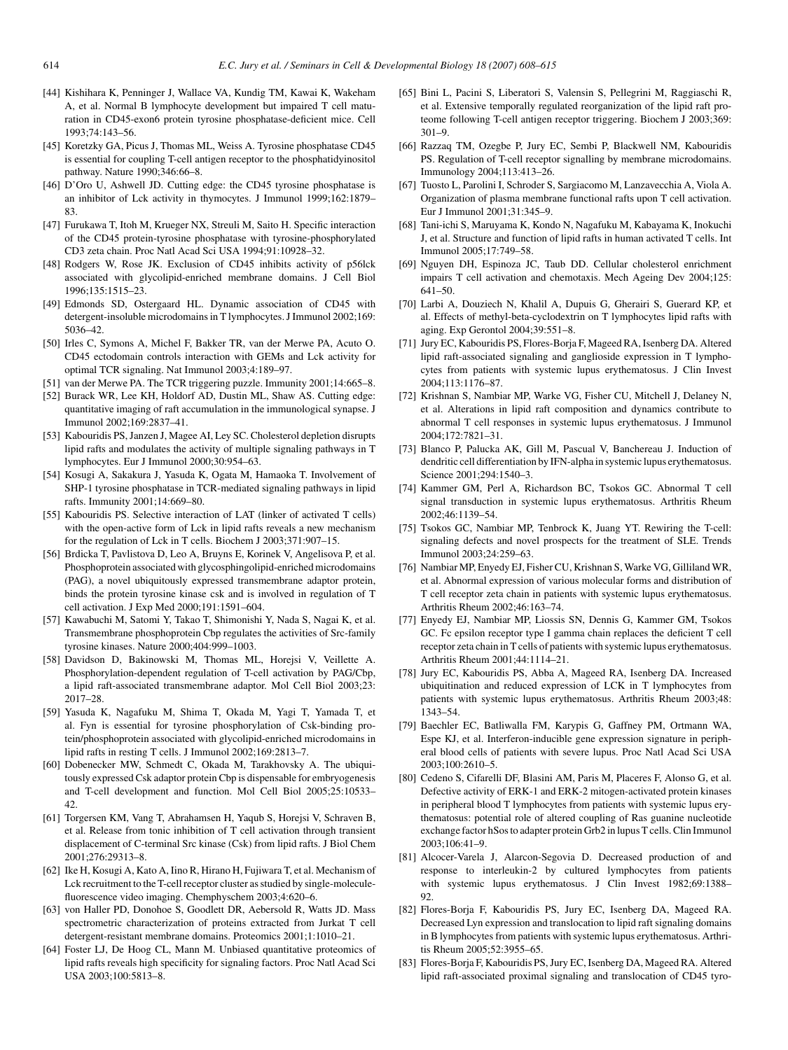- <span id="page-6-0"></span>[44] Kishihara K, Penninger J, Wallace VA, Kundig TM, Kawai K, Wakeham A, et al. Normal B lymphocyte development but impaired T cell maturation in CD45-exon6 protein tyrosine phosphatase-deficient mice. Cell 1993;74:143–56.
- [45] Koretzky GA, Picus J, Thomas ML, Weiss A. Tyrosine phosphatase CD45 is essential for coupling T-cell antigen receptor to the phosphatidyinositol pathway. Nature 1990;346:66–8.
- [46] D'Oro U, Ashwell JD. Cutting edge: the CD45 tyrosine phosphatase is an inhibitor of Lck activity in thymocytes. J Immunol 1999;162:1879– 83.
- [47] Furukawa T, Itoh M, Krueger NX, Streuli M, Saito H. Specific interaction of the CD45 protein-tyrosine phosphatase with tyrosine-phosphorylated CD3 zeta chain. Proc Natl Acad Sci USA 1994;91:10928–32.
- [48] Rodgers W, Rose JK. Exclusion of CD45 inhibits activity of p56lck associated with glycolipid-enriched membrane domains. J Cell Biol 1996;135:1515–23.
- [49] Edmonds SD, Ostergaard HL. Dynamic association of CD45 with detergent-insoluble microdomains in T lymphocytes. J Immunol 2002;169: 5036–42.
- [50] Irles C, Symons A, Michel F, Bakker TR, van der Merwe PA, Acuto O. CD45 ectodomain controls interaction with GEMs and Lck activity for optimal TCR signaling. Nat Immunol 2003;4:189–97.
- [51] van der Merwe PA. The TCR triggering puzzle. Immunity 2001;14:665–8.
- [52] Burack WR, Lee KH, Holdorf AD, Dustin ML, Shaw AS. Cutting edge: quantitative imaging of raft accumulation in the immunological synapse. J Immunol 2002;169:2837–41.
- [53] Kabouridis PS, Janzen J, Magee AI, Ley SC. Cholesterol depletion disrupts lipid rafts and modulates the activity of multiple signaling pathways in T lymphocytes. Eur J Immunol 2000;30:954–63.
- [54] Kosugi A, Sakakura J, Yasuda K, Ogata M, Hamaoka T. Involvement of SHP-1 tyrosine phosphatase in TCR-mediated signaling pathways in lipid rafts. Immunity 2001;14:669–80.
- [55] Kabouridis PS. Selective interaction of LAT (linker of activated T cells) with the open-active form of Lck in lipid rafts reveals a new mechanism for the regulation of Lck in T cells. Biochem J 2003;371:907–15.
- [56] Brdicka T, Pavlistova D, Leo A, Bruyns E, Korinek V, Angelisova P, et al. Phosphoprotein associated with glycosphingolipid-enriched microdomains (PAG), a novel ubiquitously expressed transmembrane adaptor protein, binds the protein tyrosine kinase csk and is involved in regulation of T cell activation. J Exp Med 2000;191:1591–604.
- [57] Kawabuchi M, Satomi Y, Takao T, Shimonishi Y, Nada S, Nagai K, et al. Transmembrane phosphoprotein Cbp regulates the activities of Src-family tyrosine kinases. Nature 2000;404:999–1003.
- [58] Davidson D, Bakinowski M, Thomas ML, Horejsi V, Veillette A. Phosphorylation-dependent regulation of T-cell activation by PAG/Cbp, a lipid raft-associated transmembrane adaptor. Mol Cell Biol 2003;23: 2017–28.
- [59] Yasuda K, Nagafuku M, Shima T, Okada M, Yagi T, Yamada T, et al. Fyn is essential for tyrosine phosphorylation of Csk-binding protein/phosphoprotein associated with glycolipid-enriched microdomains in lipid rafts in resting T cells. J Immunol 2002;169:2813–7.
- [60] Dobenecker MW, Schmedt C, Okada M, Tarakhovsky A. The ubiquitously expressed Csk adaptor protein Cbp is dispensable for embryogenesis and T-cell development and function. Mol Cell Biol 2005;25:10533– 42.
- [61] Torgersen KM, Vang T, Abrahamsen H, Yaqub S, Horejsi V, Schraven B, et al. Release from tonic inhibition of T cell activation through transient displacement of C-terminal Src kinase (Csk) from lipid rafts. J Biol Chem 2001;276:29313–8.
- [62] Ike H, Kosugi A, Kato A, Iino R, Hirano H, Fujiwara T, et al. Mechanism of Lck recruitment to the T-cell receptor cluster as studied by single-moleculefluorescence video imaging. Chemphyschem 2003;4:620–6.
- [63] von Haller PD, Donohoe S, Goodlett DR, Aebersold R, Watts JD. Mass spectrometric characterization of proteins extracted from Jurkat T cell detergent-resistant membrane domains. Proteomics 2001;1:1010–21.
- [64] Foster LJ, De Hoog CL, Mann M. Unbiased quantitative proteomics of lipid rafts reveals high specificity for signaling factors. Proc Natl Acad Sci USA 2003;100:5813–8.
- [65] Bini L, Pacini S, Liberatori S, Valensin S, Pellegrini M, Raggiaschi R, et al. Extensive temporally regulated reorganization of the lipid raft proteome following T-cell antigen receptor triggering. Biochem J 2003;369: 301–9.
- [66] Razzaq TM, Ozegbe P, Jury EC, Sembi P, Blackwell NM, Kabouridis PS. Regulation of T-cell receptor signalling by membrane microdomains. Immunology 2004;113:413–26.
- [67] Tuosto L, Parolini I, Schroder S, Sargiacomo M, Lanzavecchia A, Viola A. Organization of plasma membrane functional rafts upon T cell activation. Eur J Immunol 2001;31:345–9.
- [68] Tani-ichi S, Maruyama K, Kondo N, Nagafuku M, Kabayama K, Inokuchi J, et al. Structure and function of lipid rafts in human activated T cells. Int Immunol 2005;17:749–58.
- [69] Nguyen DH, Espinoza JC, Taub DD. Cellular cholesterol enrichment impairs T cell activation and chemotaxis. Mech Ageing Dev 2004;125: 641–50.
- [70] Larbi A, Douziech N, Khalil A, Dupuis G, Gherairi S, Guerard KP, et al. Effects of methyl-beta-cyclodextrin on T lymphocytes lipid rafts with aging. Exp Gerontol 2004;39:551–8.
- [71] Jury EC, Kabouridis PS, Flores-Borja F, Mageed RA, Isenberg DA. Altered lipid raft-associated signaling and ganglioside expression in T lymphocytes from patients with systemic lupus erythematosus. J Clin Invest 2004;113:1176–87.
- [72] Krishnan S, Nambiar MP, Warke VG, Fisher CU, Mitchell J, Delaney N, et al. Alterations in lipid raft composition and dynamics contribute to abnormal T cell responses in systemic lupus erythematosus. J Immunol 2004;172:7821–31.
- [73] Blanco P, Palucka AK, Gill M, Pascual V, Banchereau J. Induction of dendritic cell differentiation by IFN-alpha in systemic lupus erythematosus. Science 2001;294:1540–3.
- [74] Kammer GM, Perl A, Richardson BC, Tsokos GC. Abnormal T cell signal transduction in systemic lupus erythematosus. Arthritis Rheum 2002;46:1139–54.
- [75] Tsokos GC, Nambiar MP, Tenbrock K, Juang YT. Rewiring the T-cell: signaling defects and novel prospects for the treatment of SLE. Trends Immunol 2003;24:259–63.
- [76] Nambiar MP, Enyedy EJ, Fisher CU, Krishnan S, Warke VG, Gilliland WR, et al. Abnormal expression of various molecular forms and distribution of T cell receptor zeta chain in patients with systemic lupus erythematosus. Arthritis Rheum 2002;46:163–74.
- [77] Enyedy EJ, Nambiar MP, Liossis SN, Dennis G, Kammer GM, Tsokos GC. Fc epsilon receptor type I gamma chain replaces the deficient T cell receptor zeta chain in T cells of patients with systemic lupus erythematosus. Arthritis Rheum 2001;44:1114–21.
- [78] Jury EC, Kabouridis PS, Abba A, Mageed RA, Isenberg DA. Increased ubiquitination and reduced expression of LCK in T lymphocytes from patients with systemic lupus erythematosus. Arthritis Rheum 2003;48: 1343–54.
- [79] Baechler EC, Batliwalla FM, Karypis G, Gaffney PM, Ortmann WA, Espe KJ, et al. Interferon-inducible gene expression signature in peripheral blood cells of patients with severe lupus. Proc Natl Acad Sci USA 2003;100:2610–5.
- [80] Cedeno S, Cifarelli DF, Blasini AM, Paris M, Placeres F, Alonso G, et al. Defective activity of ERK-1 and ERK-2 mitogen-activated protein kinases in peripheral blood T lymphocytes from patients with systemic lupus erythematosus: potential role of altered coupling of Ras guanine nucleotide exchange factor hSos to adapter protein Grb2 in lupus T cells. Clin Immunol 2003;106:41–9.
- [81] Alcocer-Varela J, Alarcon-Segovia D. Decreased production of and response to interleukin-2 by cultured lymphocytes from patients with systemic lupus erythematosus. J Clin Invest 1982;69:1388– 92.
- [82] Flores-Borja F, Kabouridis PS, Jury EC, Isenberg DA, Mageed RA. Decreased Lyn expression and translocation to lipid raft signaling domains in B lymphocytes from patients with systemic lupus erythematosus. Arthritis Rheum 2005;52:3955–65.
- [83] Flores-Borja F, Kabouridis PS, Jury EC, Isenberg DA, Mageed RA. Altered lipid raft-associated proximal signaling and translocation of CD45 tyro-